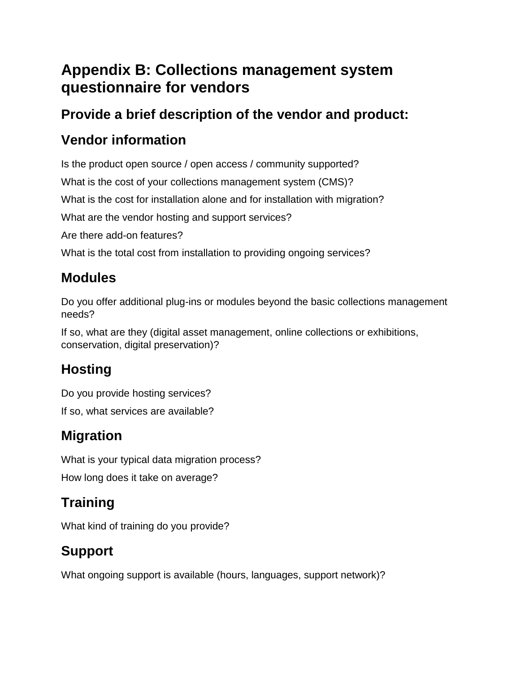# **Appendix B: Collections management system questionnaire for vendors**

#### **Provide a brief description of the vendor and product:**

## **Vendor information**

Is the product open source / open access / community supported?

What is the cost of your collections management system (CMS)?

What is the cost for installation alone and for installation with migration?

What are the vendor hosting and support services?

Are there add-on features?

What is the total cost from installation to providing ongoing services?

## **Modules**

Do you offer additional plug-ins or modules beyond the basic collections management needs?

If so, what are they (digital asset management, online collections or exhibitions, conservation, digital preservation)?

### **Hosting**

Do you provide hosting services? If so, what services are available?

### **Migration**

What is your typical data migration process?

How long does it take on average?

# **Training**

What kind of training do you provide?

# **Support**

What ongoing support is available (hours, languages, support network)?